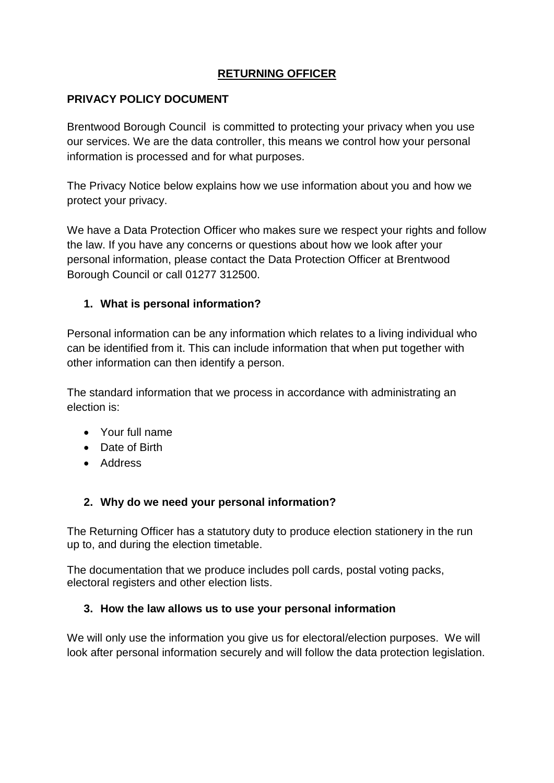# **RETURNING OFFICER**

#### **PRIVACY POLICY DOCUMENT**

Brentwood Borough Council is committed to protecting your privacy when you use our services. We are the data controller, this means we control how your personal information is processed and for what purposes.

The Privacy Notice below explains how we use information about you and how we protect your privacy.

We have a Data Protection Officer who makes sure we respect your rights and follow the law. If you have any concerns or questions about how we look after your personal information, please contact the Data Protection Officer at Brentwood Borough Council or call 01277 312500.

#### **1. What is personal information?**

Personal information can be any information which relates to a living individual who can be identified from it. This can include information that when put together with other information can then identify a person.

The standard information that we process in accordance with administrating an election is:

- Your full name
- Date of Birth
- Address

### **2. Why do we need your personal information?**

The Returning Officer has a statutory duty to produce election stationery in the run up to, and during the election timetable.

The documentation that we produce includes poll cards, postal voting packs, electoral registers and other election lists.

### **3. How the law allows us to use your personal information**

We will only use the information you give us for electoral/election purposes. We will look after personal information securely and will follow the data protection legislation.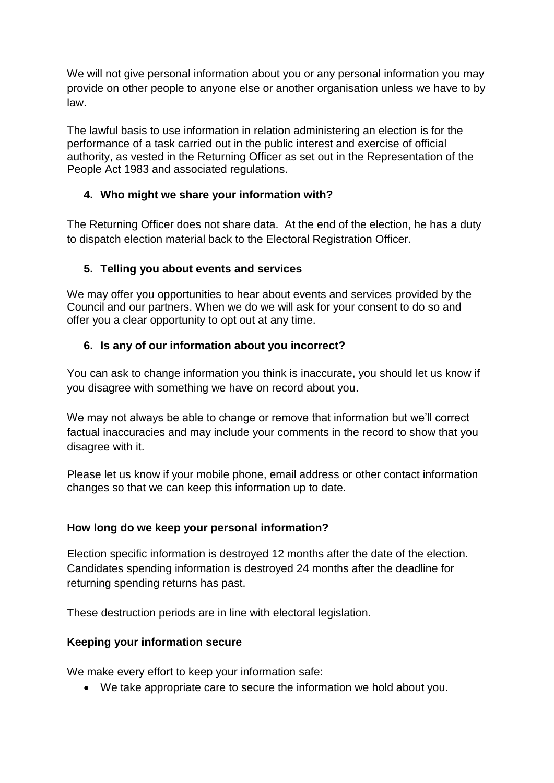We will not give personal information about you or any personal information you may provide on other people to anyone else or another organisation unless we have to by law.

The lawful basis to use information in relation administering an election is for the performance of a task carried out in the public interest and exercise of official authority, as vested in the Returning Officer as set out in the Representation of the People Act 1983 and associated regulations.

## **4. Who might we share your information with?**

The Returning Officer does not share data. At the end of the election, he has a duty to dispatch election material back to the Electoral Registration Officer.

# **5. Telling you about events and services**

We may offer you opportunities to hear about events and services provided by the Council and our partners. When we do we will ask for your consent to do so and offer you a clear opportunity to opt out at any time.

### **6. Is any of our information about you incorrect?**

You can ask to change information you think is inaccurate, you should let us know if you disagree with something we have on record about you.

We may not always be able to change or remove that information but we'll correct factual inaccuracies and may include your comments in the record to show that you disagree with it.

Please let us know if your mobile phone, email address or other contact information changes so that we can keep this information up to date.

### **How long do we keep your personal information?**

Election specific information is destroyed 12 months after the date of the election. Candidates spending information is destroyed 24 months after the deadline for returning spending returns has past.

These destruction periods are in line with electoral legislation.

### **Keeping your information secure**

We make every effort to keep your information safe:

• We take appropriate care to secure the information we hold about you.